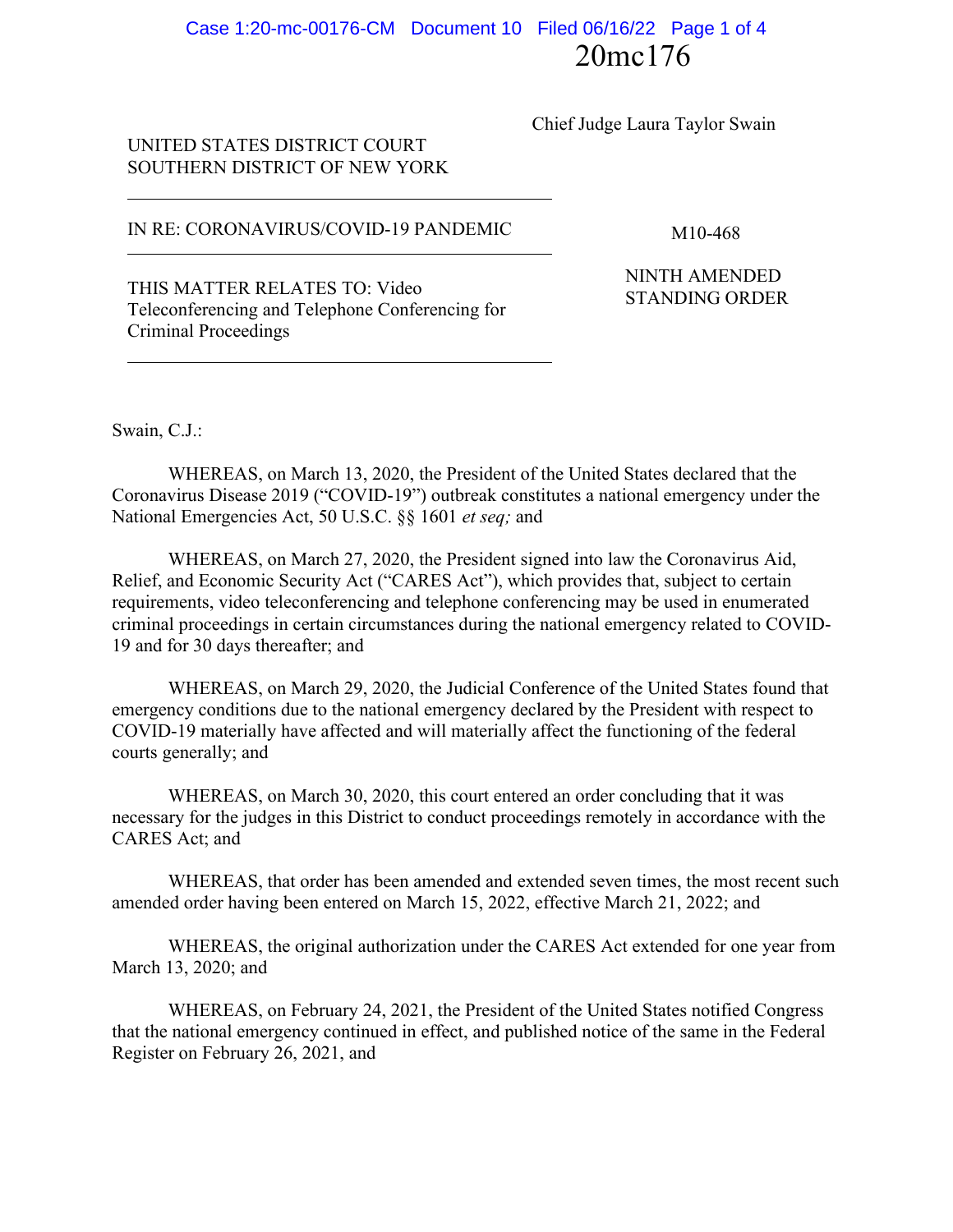# 20mc176 Case 1:20-mc-00176-CM Document 10 Filed 06/16/22 Page 1 of 4

Chief Judge Laura Taylor Swain

### UNITED STATES DISTRICT COURT SOUTHERN DISTRICT OF NEW YORK

#### IN RE: CORONAVIRUS/COVID-19 PANDEMIC M10-468

THIS MATTER RELATES TO: Video<br>
This Matter of the Standing ORDER Teleconferencing and Telephone Conferencing for Criminal Proceedings

NINTH AMENDED

Swain, C.J.:

WHEREAS, on March 13, 2020, the President of the United States declared that the Coronavirus Disease 2019 ("COVID-19") outbreak constitutes a national emergency under the National Emergencies Act, 50 U.S.C. §§ 1601 *et seq;* and

WHEREAS, on March 27, 2020, the President signed into law the Coronavirus Aid, Relief, and Economic Security Act ("CARES Act"), which provides that, subject to certain requirements, video teleconferencing and telephone conferencing may be used in enumerated criminal proceedings in certain circumstances during the national emergency related to COVID-19 and for 30 days thereafter; and

WHEREAS, on March 29, 2020, the Judicial Conference of the United States found that emergency conditions due to the national emergency declared by the President with respect to COVID-19 materially have affected and will materially affect the functioning of the federal courts generally; and

WHEREAS, on March 30, 2020, this court entered an order concluding that it was necessary for the judges in this District to conduct proceedings remotely in accordance with the CARES Act; and

WHEREAS, that order has been amended and extended seven times, the most recent such amended order having been entered on March 15, 2022, effective March 21, 2022; and

WHEREAS, the original authorization under the CARES Act extended for one year from March 13, 2020; and

WHEREAS, on February 24, 2021, the President of the United States notified Congress that the national emergency continued in effect, and published notice of the same in the Federal Register on February 26, 2021, and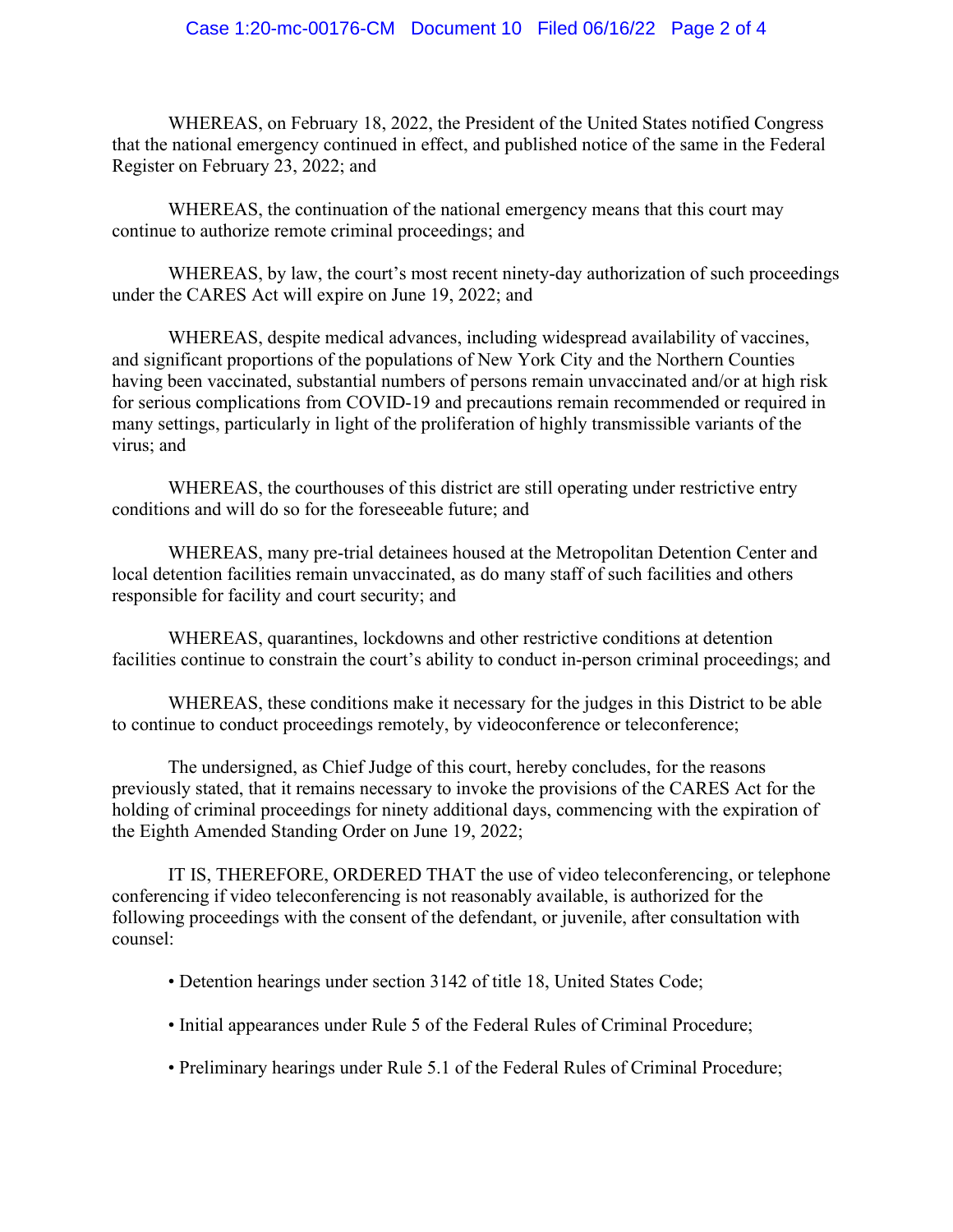#### Case 1:20-mc-00176-CM Document 10 Filed 06/16/22 Page 2 of 4

WHEREAS, on February 18, 2022, the President of the United States notified Congress that the national emergency continued in effect, and published notice of the same in the Federal Register on February 23, 2022; and

WHEREAS, the continuation of the national emergency means that this court may continue to authorize remote criminal proceedings; and

WHEREAS, by law, the court's most recent ninety-day authorization of such proceedings under the CARES Act will expire on June 19, 2022; and

WHEREAS, despite medical advances, including widespread availability of vaccines, and significant proportions of the populations of New York City and the Northern Counties having been vaccinated, substantial numbers of persons remain unvaccinated and/or at high risk for serious complications from COVID-19 and precautions remain recommended or required in many settings, particularly in light of the proliferation of highly transmissible variants of the virus; and

WHEREAS, the courthouses of this district are still operating under restrictive entry conditions and will do so for the foreseeable future; and

WHEREAS, many pre-trial detainees housed at the Metropolitan Detention Center and local detention facilities remain unvaccinated, as do many staff of such facilities and others responsible for facility and court security; and

WHEREAS, quarantines, lockdowns and other restrictive conditions at detention facilities continue to constrain the court's ability to conduct in-person criminal proceedings; and

WHEREAS, these conditions make it necessary for the judges in this District to be able to continue to conduct proceedings remotely, by videoconference or teleconference;

The undersigned, as Chief Judge of this court, hereby concludes, for the reasons previously stated, that it remains necessary to invoke the provisions of the CARES Act for the holding of criminal proceedings for ninety additional days, commencing with the expiration of the Eighth Amended Standing Order on June 19, 2022;

IT IS, THEREFORE, ORDERED THAT the use of video teleconferencing, or telephone conferencing if video teleconferencing is not reasonably available, is authorized for the following proceedings with the consent of the defendant, or juvenile, after consultation with counsel:

- Detention hearings under section 3142 of title 18, United States Code;
- Initial appearances under Rule 5 of the Federal Rules of Criminal Procedure;
- Preliminary hearings under Rule 5.1 of the Federal Rules of Criminal Procedure;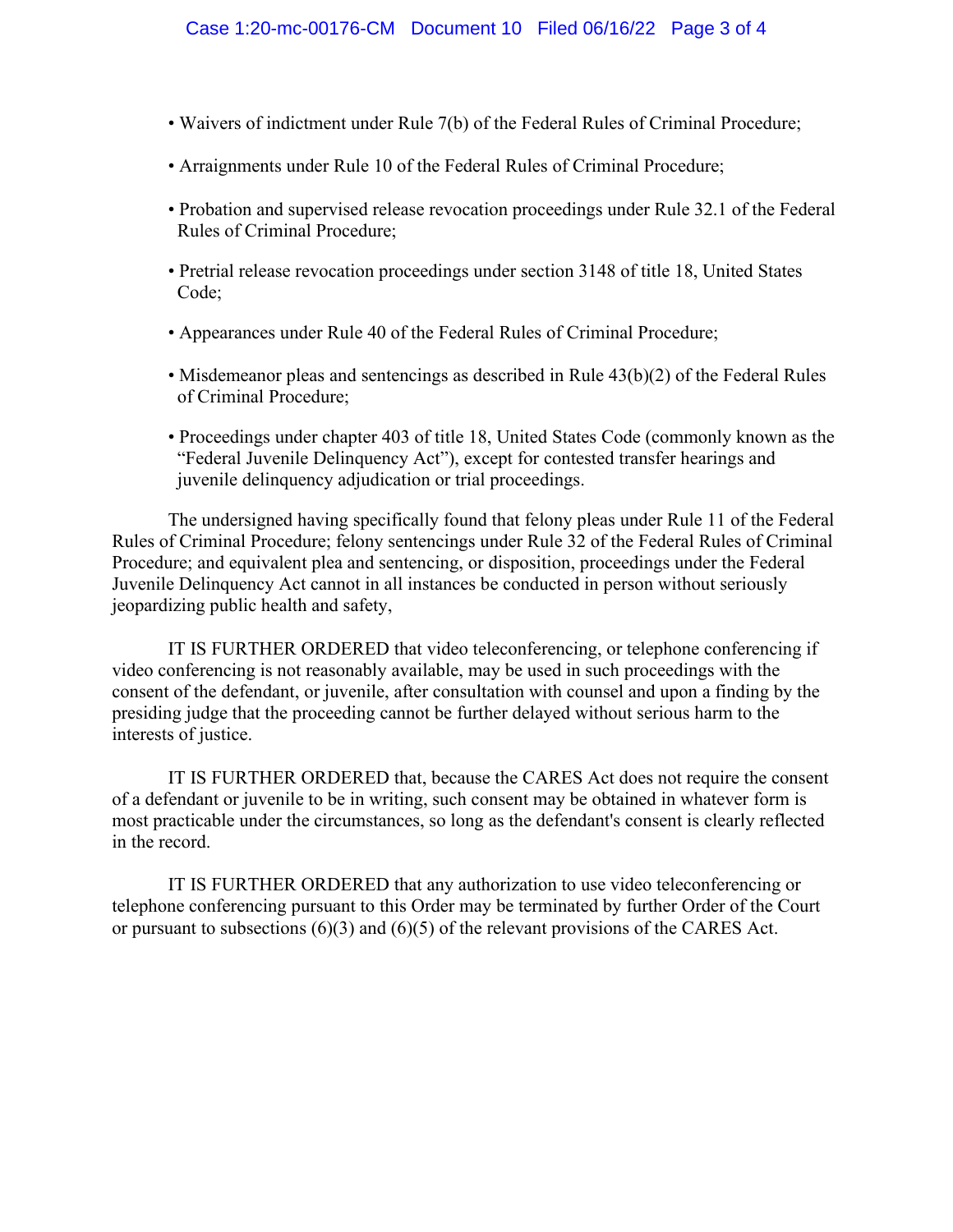- Waivers of indictment under Rule 7(b) of the Federal Rules of Criminal Procedure;
- Arraignments under Rule 10 of the Federal Rules of Criminal Procedure;
- Probation and supervised release revocation proceedings under Rule 32.1 of the Federal Rules of Criminal Procedure;
- Pretrial release revocation proceedings under section 3148 of title 18, United States Code;
- Appearances under Rule 40 of the Federal Rules of Criminal Procedure;
- Misdemeanor pleas and sentencings as described in Rule 43(b)(2) of the Federal Rules of Criminal Procedure;
- Proceedings under chapter 403 of title 18, United States Code (commonly known as the "Federal Juvenile Delinquency Act"), except for contested transfer hearings and juvenile delinquency adjudication or trial proceedings.

The undersigned having specifically found that felony pleas under Rule 11 of the Federal Rules of Criminal Procedure; felony sentencings under Rule 32 of the Federal Rules of Criminal Procedure; and equivalent plea and sentencing, or disposition, proceedings under the Federal Juvenile Delinquency Act cannot in all instances be conducted in person without seriously jeopardizing public health and safety,

IT IS FURTHER ORDERED that video teleconferencing, or telephone conferencing if video conferencing is not reasonably available, may be used in such proceedings with the consent of the defendant, or juvenile, after consultation with counsel and upon a finding by the presiding judge that the proceeding cannot be further delayed without serious harm to the interests of justice.

IT IS FURTHER ORDERED that, because the CARES Act does not require the consent of a defendant or juvenile to be in writing, such consent may be obtained in whatever form is most practicable under the circumstances, so long as the defendant's consent is clearly reflected in the record.

IT IS FURTHER ORDERED that any authorization to use video teleconferencing or telephone conferencing pursuant to this Order may be terminated by further Order of the Court or pursuant to subsections (6)(3) and (6)(5) of the relevant provisions of the CARES Act.